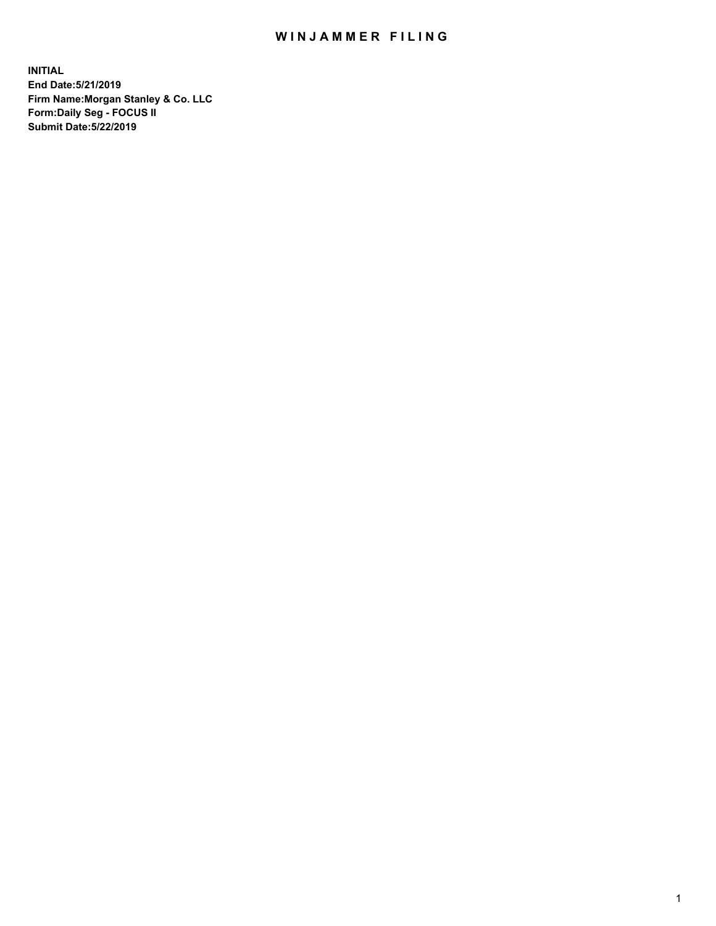## WIN JAMMER FILING

**INITIAL End Date:5/21/2019 Firm Name:Morgan Stanley & Co. LLC Form:Daily Seg - FOCUS II Submit Date:5/22/2019**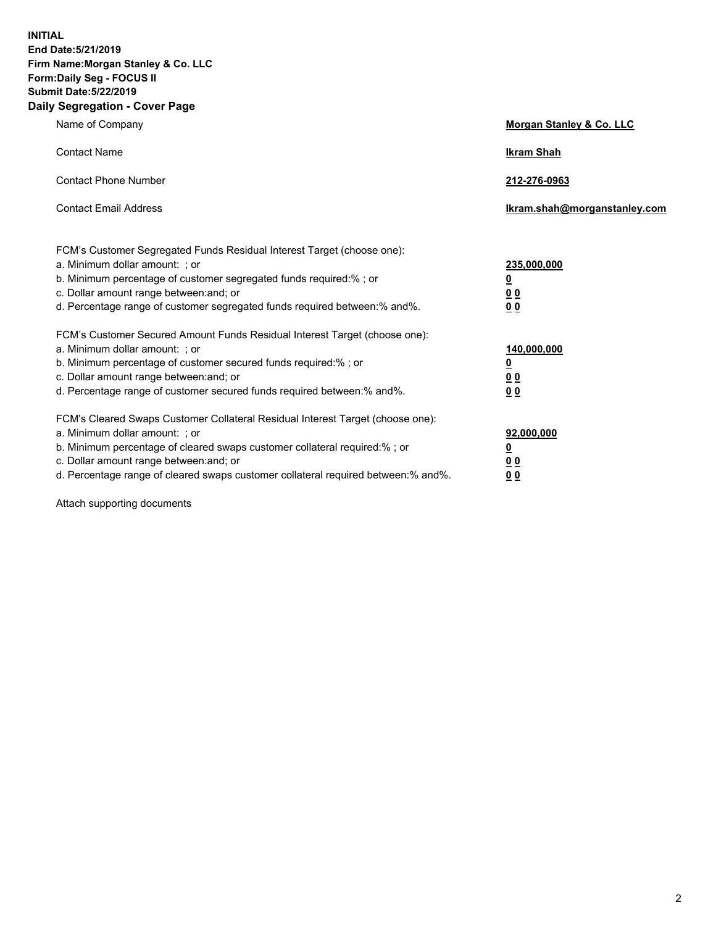**INITIAL End Date:5/21/2019 Firm Name:Morgan Stanley & Co. LLC Form:Daily Seg - FOCUS II Submit Date:5/22/2019 Daily Segregation - Cover Page**

| Name of Company                                                                                                                                                                                                                                                                                                                | Morgan Stanley & Co. LLC                                    |
|--------------------------------------------------------------------------------------------------------------------------------------------------------------------------------------------------------------------------------------------------------------------------------------------------------------------------------|-------------------------------------------------------------|
| <b>Contact Name</b>                                                                                                                                                                                                                                                                                                            | <b>Ikram Shah</b>                                           |
| <b>Contact Phone Number</b>                                                                                                                                                                                                                                                                                                    | 212-276-0963                                                |
| <b>Contact Email Address</b>                                                                                                                                                                                                                                                                                                   | Ikram.shah@morganstanley.com                                |
| FCM's Customer Segregated Funds Residual Interest Target (choose one):<br>a. Minimum dollar amount: ; or<br>b. Minimum percentage of customer segregated funds required:% ; or<br>c. Dollar amount range between: and; or<br>d. Percentage range of customer segregated funds required between:% and%.                         | 235,000,000<br><u>0</u><br>0 <sub>0</sub><br>0 <sub>0</sub> |
| FCM's Customer Secured Amount Funds Residual Interest Target (choose one):<br>a. Minimum dollar amount: ; or<br>b. Minimum percentage of customer secured funds required:%; or<br>c. Dollar amount range between: and; or<br>d. Percentage range of customer secured funds required between:% and%.                            | 140,000,000<br><u>0</u><br>0 <sub>0</sub><br>0 <sub>0</sub> |
| FCM's Cleared Swaps Customer Collateral Residual Interest Target (choose one):<br>a. Minimum dollar amount: ; or<br>b. Minimum percentage of cleared swaps customer collateral required:% ; or<br>c. Dollar amount range between: and; or<br>d. Percentage range of cleared swaps customer collateral required between:% and%. | 92,000,000<br><u>0</u><br><u>00</u><br>0 <sub>0</sub>       |

Attach supporting documents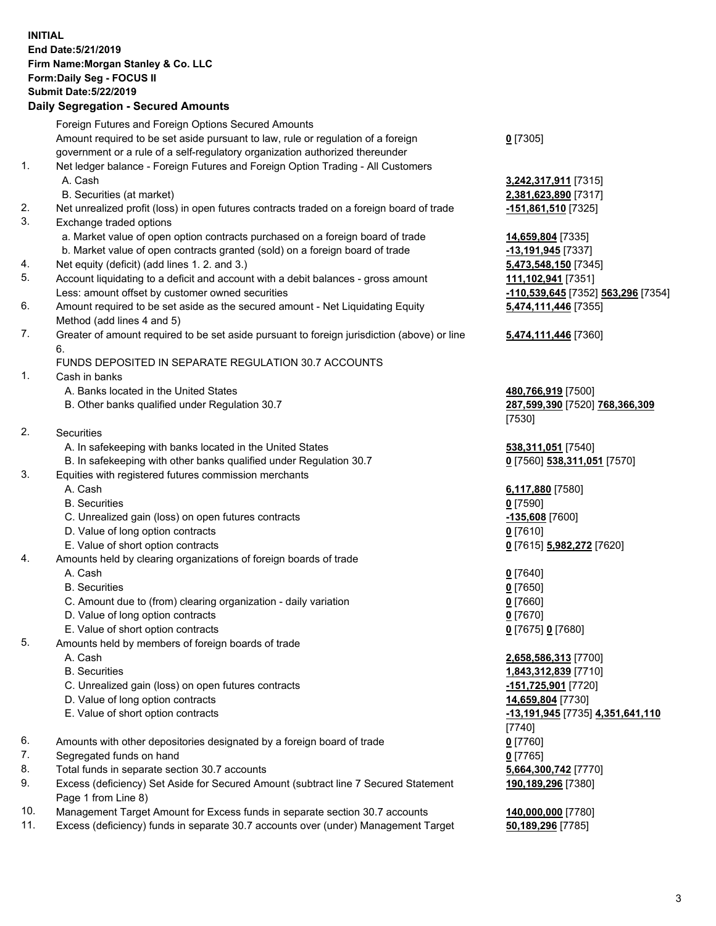## **INITIAL End Date:5/21/2019 Firm Name:Morgan Stanley & Co. LLC Form:Daily Seg - FOCUS II Submit Date:5/22/2019**

## **Daily Segregation - Secured Amounts**

|     | Foreign Futures and Foreign Options Secured Amounts                                                          |                                                 |
|-----|--------------------------------------------------------------------------------------------------------------|-------------------------------------------------|
|     | Amount required to be set aside pursuant to law, rule or regulation of a foreign                             | $0$ [7305]                                      |
|     | government or a rule of a self-regulatory organization authorized thereunder                                 |                                                 |
| 1.  | Net ledger balance - Foreign Futures and Foreign Option Trading - All Customers                              |                                                 |
|     | A. Cash                                                                                                      | 3,242,317,911 [7315]                            |
|     | B. Securities (at market)                                                                                    | 2,381,623,890 [7317]                            |
| 2.  | Net unrealized profit (loss) in open futures contracts traded on a foreign board of trade                    | -151,861,510 [7325]                             |
| 3.  | Exchange traded options                                                                                      |                                                 |
|     | a. Market value of open option contracts purchased on a foreign board of trade                               | 14,659,804 [7335]                               |
|     | b. Market value of open contracts granted (sold) on a foreign board of trade                                 | -13,191,945 [7337]                              |
| 4.  | Net equity (deficit) (add lines 1.2. and 3.)                                                                 | 5,473,548,150 [7345]                            |
| 5.  | Account liquidating to a deficit and account with a debit balances - gross amount                            | 111,102,941 [7351]                              |
|     | Less: amount offset by customer owned securities                                                             | <mark>-110,539,645</mark> [7352] 563,296 [7354] |
| 6.  | Amount required to be set aside as the secured amount - Net Liquidating Equity<br>Method (add lines 4 and 5) | 5,474,111,446 [7355]                            |
| 7.  | Greater of amount required to be set aside pursuant to foreign jurisdiction (above) or line                  | 5,474,111,446 [7360]                            |
|     | 6.                                                                                                           |                                                 |
|     | FUNDS DEPOSITED IN SEPARATE REGULATION 30.7 ACCOUNTS                                                         |                                                 |
| 1.  | Cash in banks                                                                                                |                                                 |
|     | A. Banks located in the United States                                                                        | 480,766,919 [7500]                              |
|     | B. Other banks qualified under Regulation 30.7                                                               | 287,599,390 [7520] 768,366,309                  |
|     |                                                                                                              | [7530]                                          |
| 2.  | Securities                                                                                                   |                                                 |
|     | A. In safekeeping with banks located in the United States                                                    | 538,311,051 [7540]                              |
|     | B. In safekeeping with other banks qualified under Regulation 30.7                                           | 0 [7560] 538,311,051 [7570]                     |
| 3.  | Equities with registered futures commission merchants                                                        |                                                 |
|     | A. Cash                                                                                                      | 6,117,880 [7580]                                |
|     | <b>B.</b> Securities                                                                                         | $0$ [7590]                                      |
|     | C. Unrealized gain (loss) on open futures contracts                                                          | -135,608 [7600]                                 |
|     | D. Value of long option contracts                                                                            | $0$ [7610]                                      |
|     | E. Value of short option contracts                                                                           | 0 [7615] 5,982,272 [7620]                       |
| 4.  | Amounts held by clearing organizations of foreign boards of trade                                            |                                                 |
|     | A. Cash                                                                                                      | $0$ [7640]                                      |
|     | <b>B.</b> Securities                                                                                         | $0$ [7650]                                      |
|     | C. Amount due to (from) clearing organization - daily variation                                              | $0$ [7660]                                      |
|     | D. Value of long option contracts                                                                            | $0$ [7670]                                      |
|     | E. Value of short option contracts                                                                           | 0 [7675] 0 [7680]                               |
| 5.  | Amounts held by members of foreign boards of trade                                                           |                                                 |
|     | A. Cash                                                                                                      | 2,658,586,313 [7700]                            |
|     | <b>B.</b> Securities                                                                                         | 1,843,312,839 [7710]                            |
|     | C. Unrealized gain (loss) on open futures contracts                                                          | -151,725,901 [7720]                             |
|     | D. Value of long option contracts                                                                            | 14,659,804 [7730]                               |
|     | E. Value of short option contracts                                                                           | -13,191,945 [7735] 4,351,641,110                |
|     |                                                                                                              | [7740]                                          |
| 6.  | Amounts with other depositories designated by a foreign board of trade                                       | $0$ [7760]                                      |
| 7.  | Segregated funds on hand                                                                                     | $0$ [7765]                                      |
| 8.  | Total funds in separate section 30.7 accounts                                                                | 5,664,300,742 [7770]                            |
| 9.  | Excess (deficiency) Set Aside for Secured Amount (subtract line 7 Secured Statement<br>Page 1 from Line 8)   | 190,189,296 [7380]                              |
| 10. | Management Target Amount for Excess funds in separate section 30.7 accounts                                  | 140,000,000 [7780]                              |
|     |                                                                                                              |                                                 |

11. Excess (deficiency) funds in separate 30.7 accounts over (under) Management Target **50,189,296** [7785]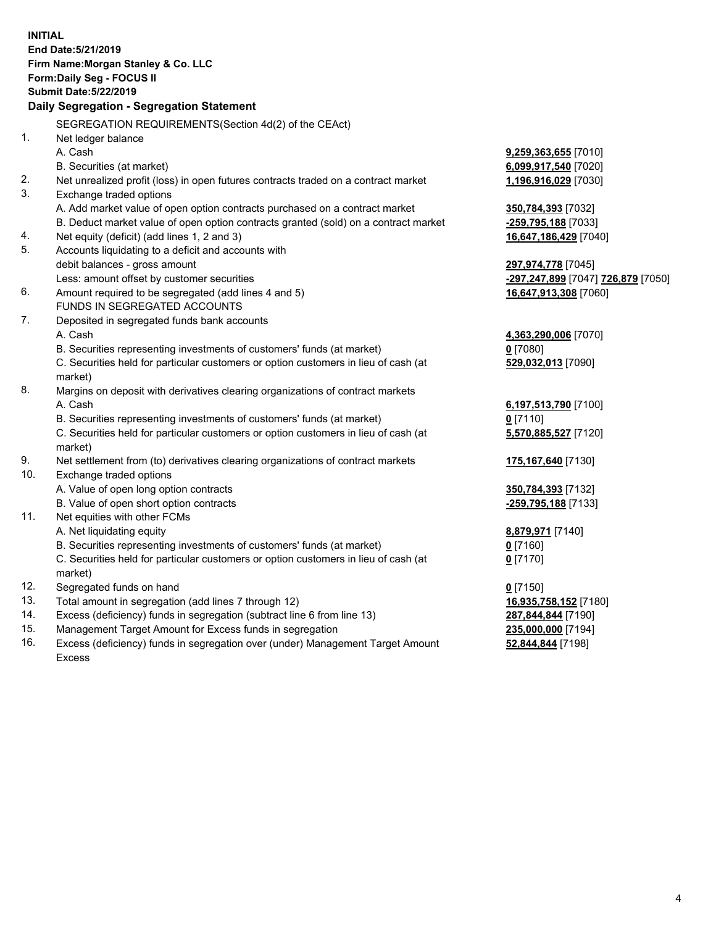**INITIAL End Date:5/21/2019 Firm Name:Morgan Stanley & Co. LLC Form:Daily Seg - FOCUS II Submit Date:5/22/2019 Daily Segregation - Segregation Statement** SEGREGATION REQUIREMENTS(Section 4d(2) of the CEAct) 1. Net ledger balance A. Cash **9,259,363,655** [7010] B. Securities (at market) **6,099,917,540** [7020] 2. Net unrealized profit (loss) in open futures contracts traded on a contract market **1,196,916,029** [7030] 3. Exchange traded options A. Add market value of open option contracts purchased on a contract market **350,784,393** [7032] B. Deduct market value of open option contracts granted (sold) on a contract market **-259,795,188** [7033] 4. Net equity (deficit) (add lines 1, 2 and 3) **16,647,186,429** [7040] 5. Accounts liquidating to a deficit and accounts with debit balances - gross amount **297,974,778** [7045] Less: amount offset by customer securities **-297,247,899** [7047] **726,879** [7050] 6. Amount required to be segregated (add lines 4 and 5) **16,647,913,308** [7060] FUNDS IN SEGREGATED ACCOUNTS 7. Deposited in segregated funds bank accounts A. Cash **4,363,290,006** [7070] B. Securities representing investments of customers' funds (at market) **0** [7080] C. Securities held for particular customers or option customers in lieu of cash (at market) **529,032,013** [7090] 8. Margins on deposit with derivatives clearing organizations of contract markets A. Cash **6,197,513,790** [7100] B. Securities representing investments of customers' funds (at market) **0** [7110] C. Securities held for particular customers or option customers in lieu of cash (at market) **5,570,885,527** [7120] 9. Net settlement from (to) derivatives clearing organizations of contract markets **175,167,640** [7130] 10. Exchange traded options A. Value of open long option contracts **350,784,393** [7132] B. Value of open short option contracts **-259,795,188** [7133] 11. Net equities with other FCMs A. Net liquidating equity **8,879,971** [7140] B. Securities representing investments of customers' funds (at market) **0** [7160] C. Securities held for particular customers or option customers in lieu of cash (at market) **0** [7170] 12. Segregated funds on hand **0** [7150] 13. Total amount in segregation (add lines 7 through 12) **16,935,758,152** [7180] 14. Excess (deficiency) funds in segregation (subtract line 6 from line 13) **287,844,844** [7190] 15. Management Target Amount for Excess funds in segregation **235,000,000** [7194] **52,844,844** [7198]

16. Excess (deficiency) funds in segregation over (under) Management Target Amount Excess